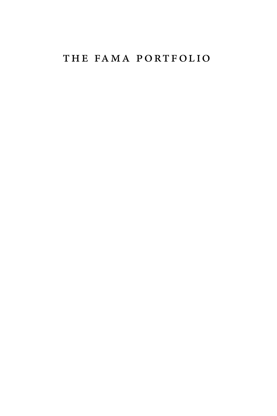## THE FAMA PORTFOLIO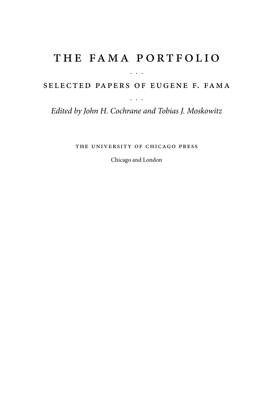## The Fama Portfolio

## Selected Papers of Eugene F. Fama . . .

. . .

*Edited by John H. Cochrane and Tobias J. Moskowitz*

The University of Chicago Press

Chicago and London